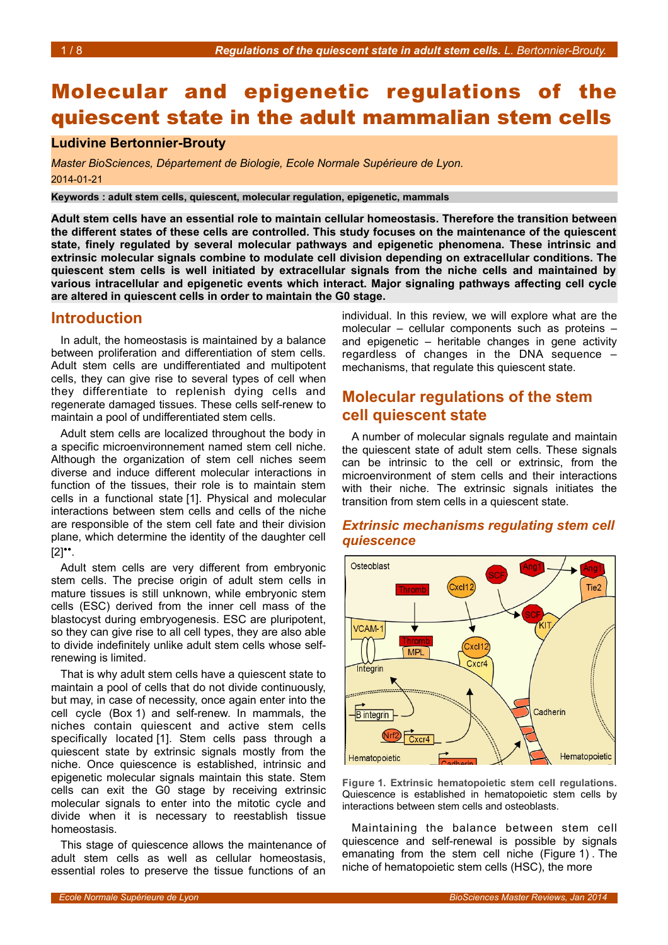# Molecular and epigenetic regulations of the quiescent state in the adult mammalian stem cells

## **Ludivine Bertonnier-Brouty**

*Master BioSciences, Département de Biologie, Ecole Normale Supérieure de Lyon.* 2014-01-21

**Keywords : adult stem cells, quiescent, molecular regulation, epigenetic, mammals**

**Adult stem cells have an essential role to maintain cellular homeostasis. Therefore the transition between the different states of these cells are controlled. This study focuses on the maintenance of the quiescent state, finely regulated by several molecular pathways and epigenetic phenomena. These intrinsic and extrinsic molecular signals combine to modulate cell division depending on extracellular conditions. The quiescent stem cells is well initiated by extracellular signals from the niche cells and maintained by various intracellular and epigenetic events which interact. Major signaling pathways affecting cell cycle are altered in quiescent cells in order to maintain the G0 stage.** 

### **Introduction**

In adult, the homeostasis is maintained by a balance between proliferation and differentiation of stem cells. Adult stem cells are undifferentiated and multipotent cells, they can give rise to several types of cell when they differentiate to replenish dying cells and regenerate damaged tissues. These cells self-renew to maintain a pool of undifferentiated stem cells.

Adult stem cells are localized throughout the body in a specific microenvironnement named stem cell niche. Although the organization of stem cell niches seem diverse and induce different molecular interactions in function of the tissues, their role is to maintain stem cells in a functional state [1]. Physical and molecular interactions between stem cells and cells of the niche are responsible of the stem cell fate and their division plane, which determine the identity of the daughter cell  $[2]$ <sup>\*</sup>.

Adult stem cells are very different from embryonic stem cells. The precise origin of adult stem cells in mature tissues is still unknown, while embryonic stem cells (ESC) derived from the inner cell mass of the blastocyst during embryogenesis. ESC are pluripotent, so they can give rise to all cell types, they are also able to divide indefinitely unlike adult stem cells whose selfrenewing is limited.

That is why adult stem cells have a quiescent state to maintain a pool of cells that do not divide continuously, but may, in case of necessity, once again enter into the cell cycle (Box [1\)](#page-1-0) and self-renew. In mammals, the niches contain quiescent and active stem cells specifically located [1]. Stem cells pass through a quiescent state by extrinsic signals mostly from the niche. Once quiescence is established, intrinsic and epigenetic molecular signals maintain this state. Stem cells can exit the G0 stage by receiving extrinsic molecular signals to enter into the mitotic cycle and divide when it is necessary to reestablish tissue homeostasis.

This stage of quiescence allows the maintenance of adult stem cells as well as cellular homeostasis, essential roles to preserve the tissue functions of an

individual. In this review, we will explore what are the molecular – cellular components such as proteins – and epigenetic – heritable changes in gene activity regardless of changes in the DNA sequence – mechanisms, that regulate this quiescent state.

## **Molecular regulations of the stem cell quiescent state**

A number of molecular signals regulate and maintain the quiescent state of adult stem cells. These signals can be intrinsic to the cell or extrinsic, from the microenvironment of stem cells and their interactions with their niche. The extrinsic signals initiates the transition from stem cells in a quiescent state.

### *Extrinsic mechanisms regulating stem cell quiescence*



<span id="page-0-0"></span>**Figure 1. Extrinsic hematopoietic stem cell regulations.** Quiescence is established in hematopoietic stem cells by interactions between stem cells and osteoblasts.

Maintaining the balance between stem cell quiescence and self-renewal is possible by signals emanating from the stem cell niche (Figure [1\)](#page-0-0) . The niche of hematopoietic stem cells (HSC), the more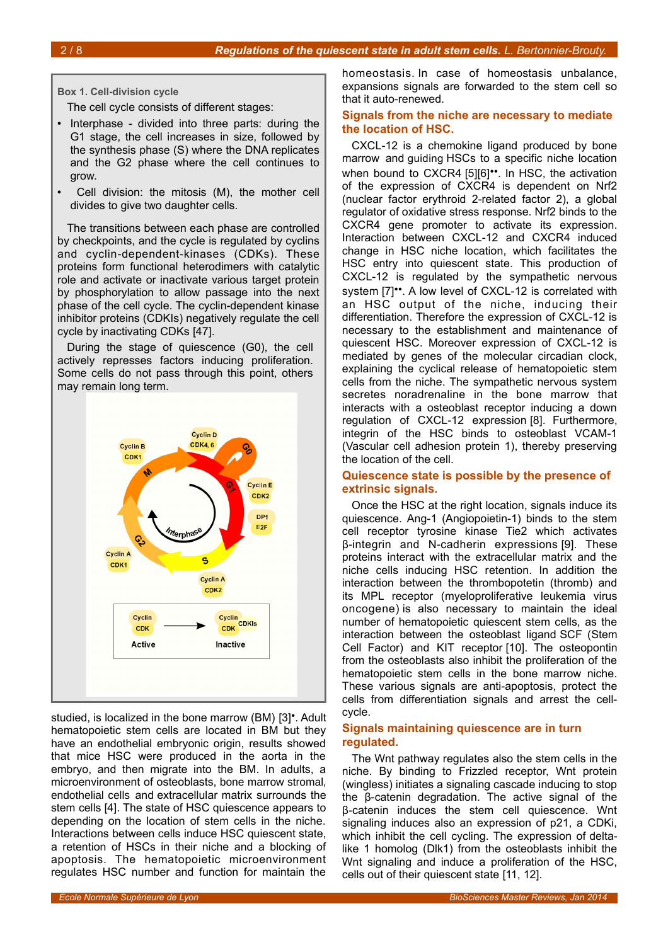**Box 1. Cell-division cycle**

<span id="page-1-0"></span>The cell cycle consists of different stages:

- Interphase divided into three parts: during the G1 stage, the cell increases in size, followed by the synthesis phase (S) where the DNA replicates and the G2 phase where the cell continues to grow.
- Cell division: the mitosis (M), the mother cell divides to give two daughter cells.

The transitions between each phase are controlled by checkpoints, and the cycle is regulated by cyclins and cyclin-dependent-kinases (CDKs). These proteins form functional heterodimers with catalytic role and activate or inactivate various target protein by phosphorylation to allow passage into the next phase of the cell cycle. The cyclin-dependent kinase inhibitor proteins (CDKIs) negatively regulate the cell cycle by inactivating CDKs [47].

During the stage of quiescence (G0), the cell actively represses factors inducing proliferation. Some cells do not pass through this point, others may remain long term.



studied, is localized in the bone marrow (BM) [3]•. Adult hematopoietic stem cells are located in BM but they have an endothelial embryonic origin, results showed that mice HSC were produced in the aorta in the embryo, and then migrate into the BM. In adults, a microenvironment of osteoblasts, bone marrow stromal, endothelial cells and extracellular matrix surrounds the stem cells [4]. The state of HSC quiescence appears to depending on the location of stem cells in the niche. Interactions between cells induce HSC quiescent state, a retention of HSCs in their niche and a blocking of apoptosis. The hematopoietic microenvironment regulates HSC number and function for maintain the

homeostasis. In case of homeostasis unbalance, expansions signals are forwarded to the stem cell so that it auto-renewed.

#### **Signals from the niche are necessary to mediate the location of HSC.**

CXCL-12 is a chemokine ligand produced by bone marrow and guiding HSCs to a specific niche location when bound to CXCR4 [5][6]••. In HSC, the activation of the expression of CXCR4 is dependent on Nrf2 (nuclear factor erythroid 2-related factor 2), a global regulator of oxidative stress response. Nrf2 binds to the CXCR4 gene promoter to activate its expression. Interaction between CXCL-12 and CXCR4 induced change in HSC niche location, which facilitates the HSC entry into quiescent state. This production of CXCL-12 is regulated by the sympathetic nervous system [7]<sup>\*\*</sup>. A low level of CXCL-12 is correlated with an HSC output of the niche, inducing their differentiation. Therefore the expression of CXCL-12 is necessary to the establishment and maintenance of quiescent HSC. Moreover expression of CXCL-12 is mediated by genes of the molecular circadian clock, explaining the cyclical release of hematopoietic stem cells from the niche. The sympathetic nervous system secretes noradrenaline in the bone marrow that interacts with a osteoblast receptor inducing a down regulation of CXCL-12 expression [8]. Furthermore, integrin of the HSC binds to osteoblast VCAM-1 (Vascular cell adhesion protein 1), thereby preserving the location of the cell.

#### **Quiescence state is possible by the presence of extrinsic signals.**

Once the HSC at the right location, signals induce its quiescence. Ang-1 (Angiopoietin-1) binds to the stem cell receptor tyrosine kinase Tie2 which activates β-integrin and N-cadherin expressions [9]. These proteins interact with the extracellular matrix and the niche cells inducing HSC retention. In addition the interaction between the thrombopotetin (thromb) and its MPL receptor (myeloproliferative leukemia virus oncogene) is also necessary to maintain the ideal number of hematopoietic quiescent stem cells, as the interaction between the osteoblast ligand SCF (Stem Cell Factor) and KIT receptor [10]. The osteopontin from the osteoblasts also inhibit the proliferation of the hematopoietic stem cells in the bone marrow niche. These various signals are anti-apoptosis, protect the cells from differentiation signals and arrest the cellcycle.

#### **Signals maintaining quiescence are in turn regulated.**

The Wnt pathway regulates also the stem cells in the niche. By binding to Frizzled receptor, Wnt protein (wingless) initiates a signaling cascade inducing to stop the β-catenin degradation. The active signal of the β-catenin induces the stem cell quiescence. Wnt signaling induces also an expression of p21, a CDKi, which inhibit the cell cycling. The expression of deltalike 1 homolog (Dlk1) from the osteoblasts inhibit the Wnt signaling and induce a proliferation of the HSC, cells out of their quiescent state [11, 12].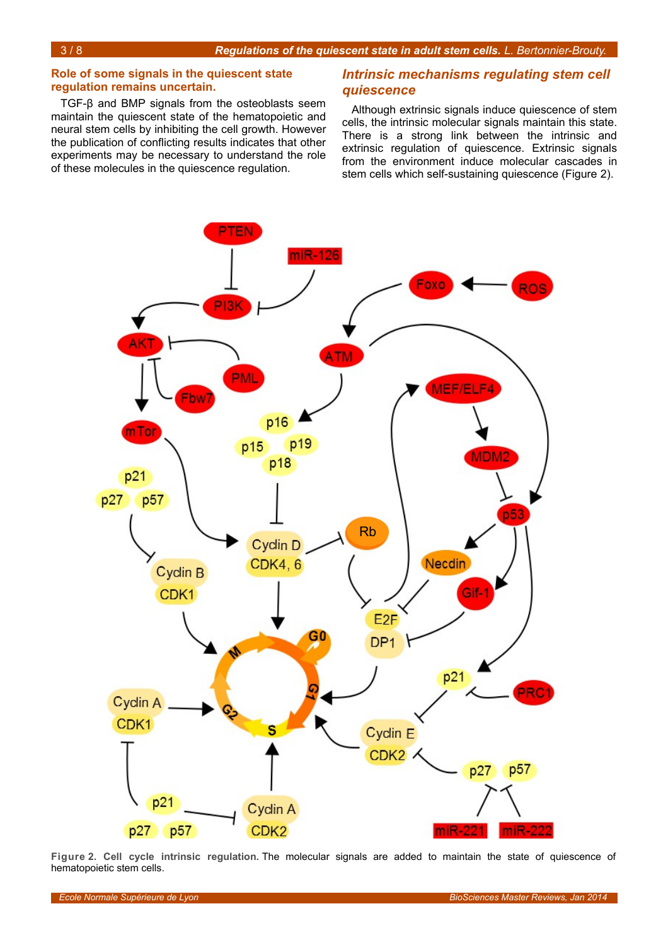#### **Role of some signals in the quiescent state regulation remains uncertain.**

TGF-β and BMP signals from the osteoblasts seem maintain the quiescent state of the hematopoietic and neural stem cells by inhibiting the cell growth. However the publication of conflicting results indicates that other experiments may be necessary to understand the role of these molecules in the quiescence regulation.

#### *Intrinsic mechanisms regulating stem cell quiescence*

Although extrinsic signals induce quiescence of stem cells, the intrinsic molecular signals maintain this state. There is a strong link between the intrinsic and extrinsic regulation of quiescence. Extrinsic signals from the environment induce molecular cascades in stem cells which self-sustaining quiescence (Figure [2\)](#page-2-0).



<span id="page-2-0"></span>**Figure 2. Cell cycle intrinsic regulation.** The molecular signals are added to maintain the state of quiescence of hematopoietic stem cells.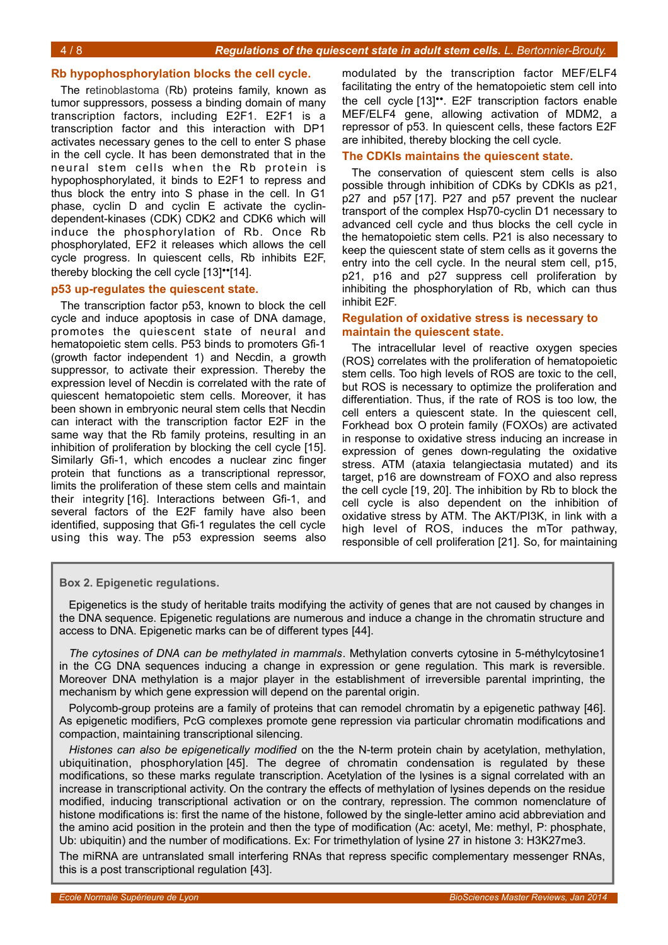#### **Rb hypophosphorylation blocks the cell cycle.**

The retinoblastoma (Rb) proteins family, known as tumor suppressors, possess a binding domain of many transcription factors, including E2F1. E2F1 is a transcription factor and this interaction with DP1 activates necessary genes to the cell to enter S phase in the cell cycle. It has been demonstrated that in the neural stem cells when the Rb protein is hypophosphorylated, it binds to E2F1 to repress and thus block the entry into S phase in the cell. In G1 phase, cyclin D and cyclin E activate the cyclindependent-kinases (CDK) CDK2 and CDK6 which will induce the phosphorylation of Rb. Once Rb phosphorylated, EF2 it releases which allows the cell cycle progress. In quiescent cells, Rb inhibits E2F, thereby blocking the cell cycle [13]••[14].

#### **p53 up-regulates the quiescent state.**

The transcription factor p53, known to block the cell cycle and induce apoptosis in case of DNA damage, promotes the quiescent state of neural and hematopoietic stem cells. P53 binds to promoters Gfi-1 (growth factor independent 1) and Necdin, a growth suppressor, to activate their expression. Thereby the expression level of Necdin is correlated with the rate of quiescent hematopoietic stem cells. Moreover, it has been shown in embryonic neural stem cells that Necdin can interact with the transcription factor E2F in the same way that the Rb family proteins, resulting in an inhibition of proliferation by blocking the cell cycle [15]. Similarly Gfi-1, which encodes a nuclear zinc finger protein that functions as a transcriptional repressor, limits the proliferation of these stem cells and maintain their integrity [16]. Interactions between Gfi-1, and several factors of the E2F family have also been identified, supposing that Gfi-1 regulates the cell cycle using this way. The p53 expression seems also

modulated by the transcription factor MEF/ELF4 facilitating the entry of the hematopoietic stem cell into the cell cycle [13]••. E2F transcription factors enable MEF/ELF4 gene, allowing activation of MDM2, a repressor of p53. In quiescent cells, these factors E2F are inhibited, thereby blocking the cell cycle.

#### **The CDKIs maintains the quiescent state.**

The conservation of quiescent stem cells is also possible through inhibition of CDKs by CDKIs as p21, p27 and p57 [17]. P27 and p57 prevent the nuclear transport of the complex Hsp70-cyclin D1 necessary to advanced cell cycle and thus blocks the cell cycle in the hematopoietic stem cells. P21 is also necessary to keep the quiescent state of stem cells as it governs the entry into the cell cycle. In the neural stem cell, p15, p21, p16 and p27 suppress cell proliferation by inhibiting the phosphorylation of Rb, which can thus inhibit E2F.

#### **Regulation of oxidative stress is necessary to maintain the quiescent state.**

The intracellular level of [reactive oxygen species](http://www.ncbi.nlm.nih.gov/pubmed/22286106) [\(ROS\)](http://www.ncbi.nlm.nih.gov/pubmed/22286106) correlates with the proliferation of hematopoietic stem cells. Too high levels of ROS are toxic to the cell, but ROS is necessary to optimize the proliferation and differentiation. Thus, if the rate of ROS is too low, the cell enters a quiescent state. In the quiescent cell, Forkhead box O protein family (FOXOs) are activated in response to oxidative stress inducing an increase in expression of genes down-regulating the oxidative stress. ATM (ataxia telangiectasia mutated) and its target, p16 are downstream of FOXO and also repress the cell cycle [19, 20]. The inhibition by Rb to block the cell cycle is also dependent on the inhibition of oxidative stress by ATM. The AKT/PI3K, in link with a high level of ROS, induces the mTor pathway, responsible of cell proliferation [21]. So, for maintaining

<span id="page-3-0"></span>**Box 2. Epigenetic regulations.**

Epigenetics is the study of heritable traits modifying the activity of genes that are not caused by changes in the DNA sequence. Epigenetic regulations are numerous and induce a change in the chromatin structure and access to DNA. Epigenetic marks can be of different types [44].

*The cytosines of DNA can be methylated in mammals*. Methylation converts cytosine in 5-méthylcytosine1 in the CG DNA sequences inducing a change in expression or gene regulation. This mark is reversible. Moreover DNA methylation is a major player in the establishment of irreversible parental imprinting, the mechanism by which gene expression will depend on the parental origin.

Polycomb-group proteins are a family of proteins that can remodel chromatin by a epigenetic pathway [46]. As epigenetic modifiers, PcG complexes promote gene repression via particular chromatin modifications and compaction, maintaining transcriptional silencing.

*Histones can also be epigenetically modified* on the the N-term protein chain by acetylation, methylation, ubiquitination, phosphorylation [45]. The degree of chromatin condensation is regulated by these modifications, so these marks regulate transcription. Acetylation of the lysines is a signal correlated with an increase in transcriptional activity. On the contrary the effects of methylation of lysines depends on the residue modified, inducing transcriptional activation or on the contrary, repression. The common nomenclature of histone modifications is: first the name of the histone, followed by the single-letter amino acid abbreviation and the amino acid position in the protein and then the type of modification (Ac: acetyl, Me: methyl, P: phosphate, Ub: ubiquitin) and the number of modifications. Ex: For trimethylation of lysine 27 in histone 3: H3K27me3.

The miRNA are untranslated small interfering RNAs that repress specific complementary messenger RNAs, this is a post transcriptional regulation [43].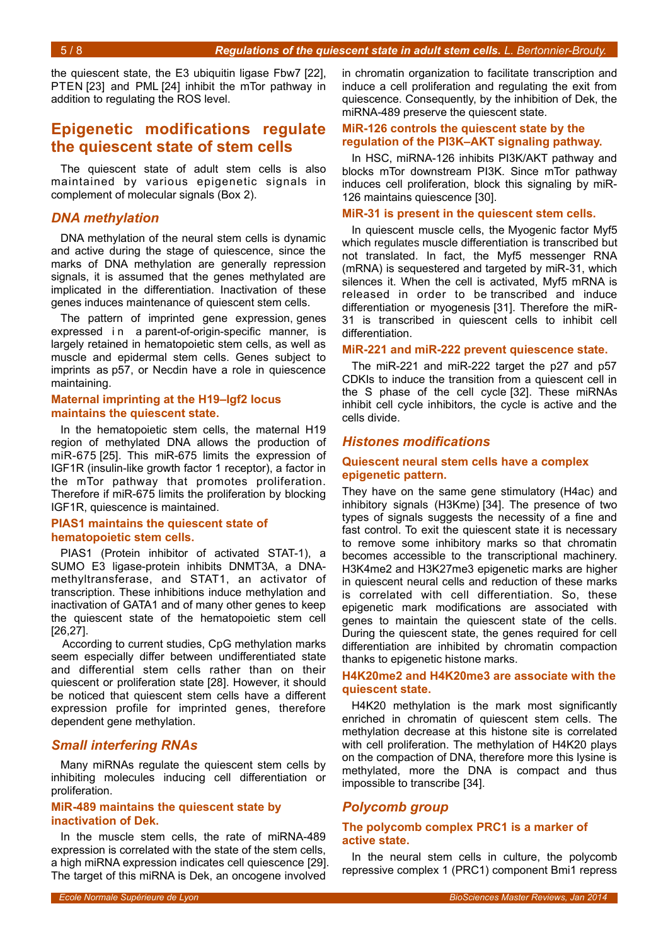the quiescent state, the E3 ubiquitin ligase Fbw7 [22], PTEN [23] and PML [24] inhibit the mTor pathway in addition to regulating the ROS level.

## **Epigenetic modifications regulate the quiescent state of stem cells**

The quiescent state of adult stem cells is also maintained by various epigenetic signals in complement of molecular signals (Box [2\)](#page-3-0).

#### *DNA methylation*

DNA methylation of the neural stem cells is dynamic and active during the stage of quiescence, since the marks of DNA methylation are generally repression signals, it is assumed that the genes methylated are implicated in the differentiation. Inactivation of these genes induces maintenance of quiescent stem cells.

The pattern of imprinted gene expression, genes expressed i n a parent-of-origin-specific manner, is largely retained in hematopoietic stem cells, as well as muscle and epidermal stem cells. Genes subject to imprints as p57, or Necdin have a role in quiescence maintaining.

#### **Maternal imprinting at the H19–Igf2 locus maintains the quiescent state.**

In the hematopoietic stem cells, the maternal H19 region of methylated DNA allows the production of miR-675 [25]. This miR-675 limits the expression of IGF1R (insulin-like growth factor 1 receptor), a factor in the mTor pathway that promotes proliferation. Therefore if miR-675 limits the proliferation by blocking IGF1R, quiescence is maintained.

#### **PIAS1 maintains the quiescent state of hematopoietic stem cells.**

PIAS1 (Protein inhibitor of activated STAT-1), a SUMO E3 ligase-protein inhibits DNMT3A, a DNAmethyltransferase, and STAT1, an activator of transcription. These inhibitions induce methylation and inactivation of GATA1 and of many other genes to keep the quiescent state of the hematopoietic stem cell [26,27].

According to current studies, CpG methylation marks seem especially differ between undifferentiated state and differential stem cells rather than on their quiescent or proliferation state [28]. However, it should be noticed that quiescent stem cells have a different expression profile for imprinted genes, therefore dependent gene methylation.

#### *Small interfering RNAs*

Many miRNAs regulate the quiescent stem cells by inhibiting molecules inducing cell differentiation or proliferation.

#### **MiR-489 maintains the quiescent state by inactivation of Dek.**

In the muscle stem cells, the rate of miRNA-489 expression is correlated with the state of the stem cells, a high miRNA expression indicates cell quiescence [29]. The target of this miRNA is Dek, an oncogene involved

in chromatin organization to facilitate transcription and induce a cell proliferation and regulating the exit from quiescence. Consequently, by the inhibition of Dek, the miRNA-489 preserve the quiescent state.

#### **MiR-126 controls the quiescent state by the regulation of the PI3K–AKT signaling pathway.**

In HSC, miRNA-126 inhibits PI3K/AKT pathway and blocks mTor downstream PI3K. Since mTor pathway induces cell proliferation, block this signaling by miR-126 maintains quiescence [30].

#### **MiR-31 is present in the quiescent stem cells.**

In quiescent muscle cells, the Myogenic factor Myf5 which regulates [muscle differentiation](http://en.wikipedia.org/wiki/Myogenesis) is transcribed but not translated. In fact, the Myf5 messenger RNA (mRNA) is sequestered and targeted by miR-31, which silences it. When the cell is activated, Myf5 mRNA is released in order to be transcribed and induce differentiation or myogenesis [31]. Therefore the miR-31 is transcribed in quiescent cells to inhibit cell differentiation.

#### **MiR-221 and miR-222 prevent quiescence state.**

The miR-221 and miR-222 target the p27 and p57 CDKIs to induce the transition from a quiescent cell in the S phase of the cell cycle [32]. These miRNAs inhibit cell cycle inhibitors, the cycle is active and the cells divide.

#### *Histones modifications*

#### **Quiescent neural stem cells have a complex epigenetic pattern.**

They have on the same gene stimulatory (H4ac) and inhibitory signals (H3Kme) [34]. The presence of two types of signals suggests the necessity of a fine and fast control. To exit the quiescent state it is necessary to remove some inhibitory marks so that chromatin becomes accessible to the transcriptional machinery. H3K4me2 and H3K27me3 epigenetic marks are higher in quiescent neural cells and reduction of these marks is correlated with cell differentiation. So, these epigenetic mark modifications are associated with genes to maintain the quiescent state of the cells. During the quiescent state, the genes required for cell differentiation are inhibited by chromatin compaction thanks to epigenetic histone marks.

#### **H4K20me2 and H4K20me3 are associate with the quiescent state.**

H4K20 methylation is the mark most significantly enriched in chromatin of quiescent stem cells. The methylation decrease at this histone site is correlated with cell proliferation. The methylation of H4K20 plays on the compaction of DNA, therefore more this lysine is methylated, more the DNA is compact and thus impossible to transcribe [34].

#### *Polycomb group*

#### **The polycomb complex PRC1 is a marker of active state.**

In the neural stem cells in culture, the polycomb repressive complex 1 (PRC1) component Bmi1 repress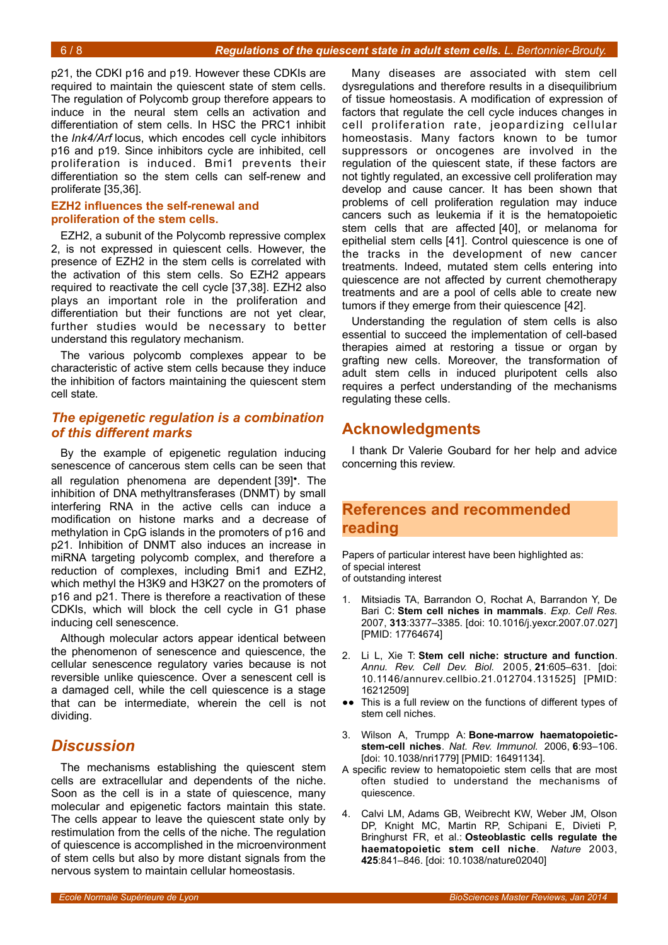p21, the CDKI p16 and p19. However these CDKIs are required to maintain the quiescent state of stem cells. The regulation of Polycomb group therefore appears to induce in the neural stem cells an activation and differentiation of stem cells. In HSC the PRC1 inhibit the *Ink4/Arf* locus, which encodes cell cycle inhibitors p16 and p19. Since inhibitors cycle are inhibited, cell proliferation is induced. Bmi1 prevents their differentiation so the stem cells can self-renew and proliferate [35,36].

#### **EZH2 influences the self-renewal and proliferation of the stem cells.**

EZH2, a subunit of the Polycomb repressive complex 2, is not expressed in quiescent cells. However, the presence of EZH2 in the stem cells is correlated with the activation of this stem cells. So EZH2 appears required to reactivate the cell cycle [37,38]. EZH2 also plays an important role in the proliferation and differentiation but their functions are not yet clear, further studies would be necessary to better understand this regulatory mechanism.

The various polycomb complexes appear to be characteristic of active stem cells because they induce the inhibition of factors maintaining the quiescent stem cell state*.*

#### *The epigenetic regulation is a combination of this different marks*

By the example of epigenetic regulation inducing senescence of cancerous stem cells can be seen that all regulation phenomena are dependent [39]•. The inhibition of DNA methyltransferases (DNMT) by small interfering RNA in the active cells can induce a modification on histone marks and a decrease of methylation in CpG islands in the promoters of p16 and p21. Inhibition of DNMT also induces an increase in miRNA targeting polycomb complex, and therefore a reduction of complexes, including Bmi1 and EZH2, which methyl the H3K9 and H3K27 on the promoters of p16 and p21. There is therefore a reactivation of these CDKIs, which will block the cell cycle in G1 phase inducing cell senescence.

Although molecular actors appear identical between the phenomenon of senescence and quiescence, the cellular senescence regulatory varies because is not reversible unlike quiescence. Over a senescent cell is a damaged cell, while the cell quiescence is a stage that can be intermediate, wherein the cell is not dividing.

## *Discussion*

The mechanisms establishing the quiescent stem cells are extracellular and dependents of the niche. Soon as the cell is in a state of quiescence, many molecular and epigenetic factors maintain this state. The cells appear to leave the quiescent state only by restimulation from the cells of the niche. The regulation of quiescence is accomplished in the microenvironment of stem cells but also by more distant signals from the nervous system to maintain cellular homeostasis.

Many diseases are associated with stem cell dysregulations and therefore results in a disequilibrium of tissue homeostasis. A modification of expression of factors that regulate the cell cycle induces changes in cell proliferation rate, jeopardizing cellular homeostasis. Many factors known to be tumor suppressors or oncogenes are involved in the regulation of the quiescent state, if these factors are not tightly regulated, an excessive cell proliferation may develop and cause cancer. It has been shown that problems of cell proliferation regulation may induce cancers such as leukemia if it is the hematopoietic stem cells that are affected [40], or melanoma for epithelial stem cells [41]. Control quiescence is one of the tracks in the development of new cancer treatments. Indeed, mutated stem cells entering into quiescence are not affected by current chemotherapy treatments and are a pool of cells able to create new tumors if they emerge from their quiescence [42].

Understanding the regulation of stem cells is also essential to succeed the implementation of cell-based therapies aimed at restoring a tissue or organ by grafting new cells. Moreover, the transformation of adult stem cells in induced pluripotent cells also requires a perfect understanding of the mechanisms regulating these cells.

## **Acknowledgments**

I thank Dr Valerie Goubard for her help and advice concerning this review.

## **References and recommended reading**

Papers of particular interest have been highlighted as: of special interest of outstanding interest

- 1. Mitsiadis TA, Barrandon O, Rochat A, Barrandon Y, De Bari C: **Stem cell niches in mammals**. *Exp. Cell Res.* 2007, **313**:3377–3385. [doi: 10.1016/j.yexcr.2007.07.027] [PMID: 17764674]
- 2. Li L, Xie T: **Stem cell niche: structure and function**. *Annu. Rev. Cell Dev. Biol.* 2005, **21**:605–631. [doi: 10.1146/annurev.cellbio.21.012704.131525] [PMID: 16212509]
- ●● This is a full review on the functions of different types of stem cell niches.
- 3. Wilson A, Trumpp A: **Bone-marrow haematopoieticstem-cell niches**. *Nat. Rev. Immunol.* 2006, **6**:93–106. [doi: 10.1038/nri1779] [PMID: 16491134].
- A specific review to hematopoietic stem cells that are most often studied to understand the mechanisms of quiescence.
- 4. Calvi LM, Adams GB, Weibrecht KW, Weber JM, Olson DP, Knight MC, Martin RP, Schipani E, Divieti P, Bringhurst FR, et al.: **Osteoblastic cells regulate the haematopoietic stem cell niche**. *Nature* 2003, **425**:841–846. [doi: 10.1038/nature02040]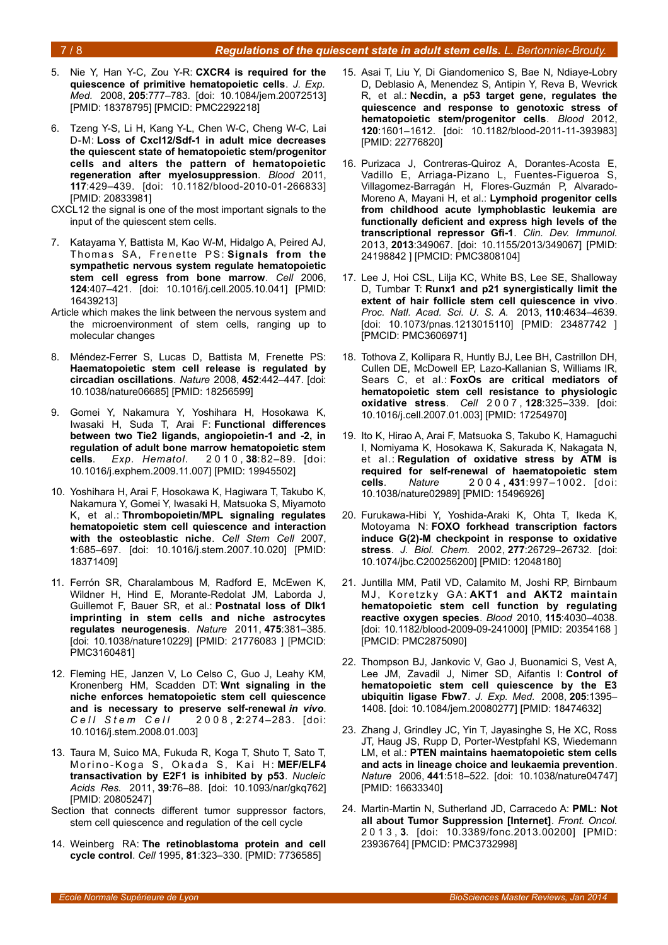#### 7 / 8 *Regulations of the quiescent state in adult stem cells. L. Bertonnier-Brouty.*

- 5. Nie Y, Han Y-C, Zou Y-R: **CXCR4 is required for the quiescence of primitive hematopoietic cells**. *J. Exp. Med.* 2008, **205**:777–783. [doi: 10.1084/jem.20072513] [PMID: 18378795] [PMCID: PMC2292218]
- 6. Tzeng Y-S, Li H, Kang Y-L, Chen W-C, Cheng W-C, Lai D-M: **Loss of Cxcl12/Sdf-1 in adult mice decreases the quiescent state of hematopoietic stem/progenitor cells and alters the pattern of hematopoietic regeneration after myelosuppression**. *Blood* 2011, **117**:429–439. [doi: 10.1182/blood-2010-01-266833] [PMID: 20833981]
- CXCL12 the signal is one of the most important signals to the input of the quiescent stem cells.
- 7. Katayama Y, Battista M, Kao W-M, Hidalgo A, Peired AJ, Thomas SA, Frenette PS: Signals from the **sympathetic nervous system regulate hematopoietic stem cell egress from bone marrow**. *Cell* 2006, **124**:407–421. [doi: 10.1016/j.cell.2005.10.041] [PMID: 16439213]
- Article which makes the link between the nervous system and the microenvironment of stem cells, ranging up to molecular changes
- 8. Méndez-Ferrer S, Lucas D, Battista M, Frenette PS: **Haematopoietic stem cell release is regulated by circadian oscillations**. *Nature* 2008, **452**:442–447. [doi: 10.1038/nature06685] [PMID: 18256599]
- 9. Gomei Y, Nakamura Y, Yoshihara H, Hosokawa K, Iwasaki H, Suda T, Arai F: **Functional differences between two Tie2 ligands, angiopoietin-1 and -2, in regulation of adult bone marrow hematopoietic stem cells**. *Exp. Hematol.* 2 0 1 0 , **38**:82–89. [doi: 10.1016/j.exphem.2009.11.007] [PMID: 19945502]
- 10. Yoshihara H, Arai F, Hosokawa K, Hagiwara T, Takubo K, Nakamura Y, Gomei Y, Iwasaki H, Matsuoka S, Miyamoto K, et al.: **Thrombopoietin/MPL signaling regulates hematopoietic stem cell quiescence and interaction with the osteoblastic niche**. *Cell Stem Cell* 2007, **1**:685–697. [doi: 10.1016/j.stem.2007.10.020] [PMID: 18371409]
- 11. Ferrón SR, Charalambous M, Radford E, McEwen K, Wildner H, Hind E, Morante-Redolat JM, Laborda J, Guillemot F, Bauer SR, et al.: **Postnatal loss of Dlk1 imprinting in stem cells and niche astrocytes regulates neurogenesis**. *Nature* 2011, **475**:381–385. [doi: 10.1038/nature10229] [PMID: 21776083 ] [PMCID: PMC3160481]
- 12. Fleming HE, Janzen V, Lo Celso C, Guo J, Leahy KM, Kronenberg HM, Scadden DT: **Wnt signaling in the niche enforces hematopoietic stem cell quiescence and is necessary to preserve self-renewal** *in vivo*. *C e l l S t e m C e l l* 2 0 0 8 , **2**:274–283. [doi: 10.1016/j.stem.2008.01.003]
- 13. Taura M, Suico MA, Fukuda R, Koga T, Shuto T, Sato T, Morino-Koga S, Okada S, Kai H: MEF/ELF4 **transactivation by E2F1 is inhibited by p53**. *Nucleic Acids Res.* 2011, **39**:76–88. [doi: 10.1093/nar/gkq762] [PMID: 20805247]
- Section that connects different tumor suppressor factors, stem cell quiescence and regulation of the cell cycle
- 14. Weinberg RA: **The retinoblastoma protein and cell cycle control**. *Cell* 1995, **81**:323–330. [PMID: 7736585]
- 15. Asai T, Liu Y, Di Giandomenico S, Bae N, Ndiaye-Lobry D, Deblasio A, Menendez S, Antipin Y, Reva B, Wevrick R, et al.: **Necdin, a p53 target gene, regulates the quiescence and response to genotoxic stress of hematopoietic stem/progenitor cells**. *Blood* 2012, **120**:1601–1612. [doi: 10.1182/blood-2011-11-393983] [PMID: 22776820]
- 16. Purizaca J, Contreras-Quiroz A, Dorantes-Acosta E, Vadillo E, Arriaga-Pizano L, Fuentes-Figueroa S, Villagomez-Barragán H, Flores-Guzmán P, Alvarado-Moreno A, Mayani H, et al.: **Lymphoid progenitor cells from childhood acute lymphoblastic leukemia are functionally deficient and express high levels of the transcriptional repressor Gfi-1**. *Clin. Dev. Immunol.* 2013, **2013**:349067. [doi: 10.1155/2013/349067] [PMID: 24198842 ] [PMCID: PMC3808104]
- 17. Lee J, Hoi CSL, Lilja KC, White BS, Lee SE, Shalloway D, Tumbar T: **Runx1 and p21 synergistically limit the extent of hair follicle stem cell quiescence in vivo**. *Proc. Natl. Acad. Sci. U. S. A.* 2013, **110**:4634–4639. [doi: 10.1073/pnas.1213015110] [PMID: 23487742 ] [PMCID: PMC3606971]
- 18. Tothova Z, Kollipara R, Huntly BJ, Lee BH, Castrillon DH, Cullen DE, McDowell EP, Lazo-Kallanian S, Williams IR, Sears C, et al.: **FoxOs are critical mediators of hematopoietic stem cell resistance to physiologic oxidative stress**. *Cell* 2 0 0 7 , **128**:325–339. [doi: 10.1016/j.cell.2007.01.003] [PMID: 17254970]
- 19. Ito K, Hirao A, Arai F, Matsuoka S, Takubo K, Hamaguchi I, Nomiyama K, Hosokawa K, Sakurada K, Nakagata N, et al.: **Regulation of oxidative stress by ATM is required for self-renewal of haematopoietic stem cells**. *Nature* 2 0 0 4 , **431**:997–1002. [doi: 10.1038/nature02989] [PMID: 15496926]
- 20. Furukawa-Hibi Y, Yoshida-Araki K, Ohta T, Ikeda K, Motoyama N: **FOXO forkhead transcription factors induce G(2)-M checkpoint in response to oxidative stress**. *J. Biol. Chem.* 2002, **277**:26729–26732. [doi: 10.1074/jbc.C200256200] [PMID: 12048180]
- 21. Juntilla MM, Patil VD, Calamito M, Joshi RP, Birnbaum MJ, Koretzky GA: AKT1 and AKT2 maintain **hematopoietic stem cell function by regulating reactive oxygen species**. *Blood* 2010, **115**:4030–4038. [doi: 10.1182/blood-2009-09-241000] [PMID: 20354168 ] [PMCID: PMC2875090]
- 22. Thompson BJ, Jankovic V, Gao J, Buonamici S, Vest A, Lee JM, Zavadil J, Nimer SD, Aifantis I: **Control of hematopoietic stem cell quiescence by the E3 ubiquitin ligase Fbw7**. *J. Exp. Med.* 2008, **205**:1395– 1408. [doi: 10.1084/jem.20080277] [PMID: 18474632]
- 23. Zhang J, Grindley JC, Yin T, Jayasinghe S, He XC, Ross JT, Haug JS, Rupp D, Porter-Westpfahl KS, Wiedemann LM, et al.: **PTEN maintains haematopoietic stem cells and acts in lineage choice and leukaemia prevention**. *Nature* 2006, **441**:518–522. [doi: 10.1038/nature04747] [PMID: 16633340]
- 24. Martin-Martin N, Sutherland JD, Carracedo A: **PML: Not all about Tumor Suppression [Internet]**. *Front. Oncol.* 2 0 1 3 , **3**. [doi: 10.3389/fonc.2013.00200] [PMID: 23936764] [PMCID: PMC3732998]